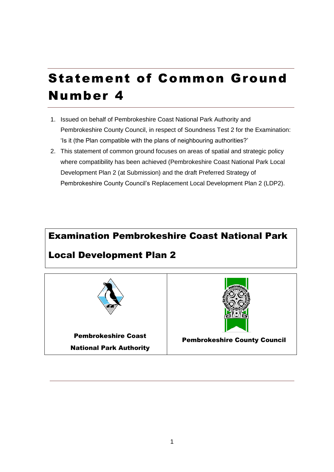# Statement of Common Ground Number 4

- 1. Issued on behalf of Pembrokeshire Coast National Park Authority and Pembrokeshire County Council, in respect of Soundness Test 2 for the Examination: 'Is it (the Plan compatible with the plans of neighbouring authorities?'
- 2. This statement of common ground focuses on areas of spatial and strategic policy where compatibility has been achieved (Pembrokeshire Coast National Park Local Development Plan 2 (at Submission) and the draft Preferred Strategy of Pembrokeshire County Council's Replacement Local Development Plan 2 (LDP2).

# Examination Pembrokeshire Coast National Park Local Development Plan 2



National Park Authority



Pembrokeshire County Council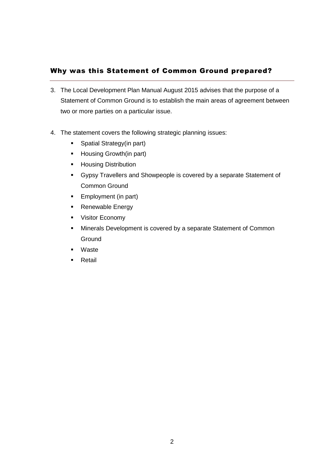# Why was this Statement of Common Ground prepared?

- 3. The Local Development Plan Manual August 2015 advises that the purpose of a Statement of Common Ground is to establish the main areas of agreement between two or more parties on a particular issue.
- 4. The statement covers the following strategic planning issues:
	- **Spatial Strategy(in part)**
	- **Housing Growth(in part)**
	- **-** Housing Distribution
	- Gypsy Travellers and Showpeople is covered by a separate Statement of Common Ground
	- **Employment (in part)**
	- Renewable Energy
	- **•** Visitor Economy
	- **Minerals Development is covered by a separate Statement of Common Ground**
	- Waste
	- Retail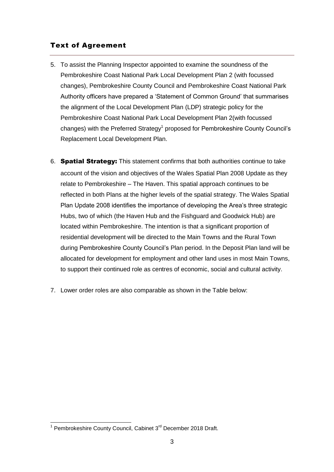# Text of Agreement

- 5. To assist the Planning Inspector appointed to examine the soundness of the Pembrokeshire Coast National Park Local Development Plan 2 (with focussed changes), Pembrokeshire County Council and Pembrokeshire Coast National Park Authority officers have prepared a 'Statement of Common Ground' that summarises the alignment of the Local Development Plan (LDP) strategic policy for the Pembrokeshire Coast National Park Local Development Plan 2(with focussed changes) with the Preferred Strategy<sup>1</sup> proposed for Pembrokeshire County Council's Replacement Local Development Plan.
- 6. Spatial Strategy: This statement confirms that both authorities continue to take account of the vision and objectives of the Wales Spatial Plan 2008 Update as they relate to Pembrokeshire – The Haven. This spatial approach continues to be reflected in both Plans at the higher levels of the spatial strategy. The Wales Spatial Plan Update 2008 identifies the importance of developing the Area's three strategic Hubs, two of which (the Haven Hub and the Fishguard and Goodwick Hub) are located within Pembrokeshire. The intention is that a significant proportion of residential development will be directed to the Main Towns and the Rural Town during Pembrokeshire County Council's Plan period. In the Deposit Plan land will be allocated for development for employment and other land uses in most Main Towns, to support their continued role as centres of economic, social and cultural activity.
- 7. Lower order roles are also comparable as shown in the Table below:

<sup>&</sup>lt;u>nessen bouwersense.</u><br><sup>1</sup> Pembrokeshire County Council, Cabinet 3<sup>rd</sup> December 2018 Draft.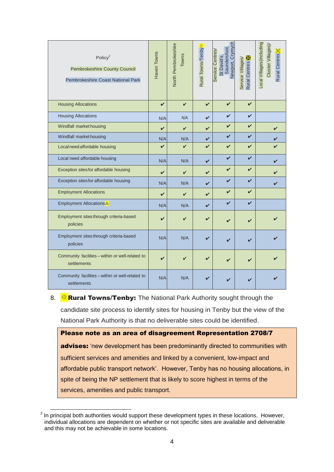| Policy $2$<br><b>Pembrokeshire County Council</b><br>Pembrokeshire Coast National Park | Haven Towns | North Pembrokeshire<br><b>Towns</b> | Rural Towns/Tenby <del>¢</del> | Newport, Crymych<br>St David's,<br>Saundersfoot,<br>Service Centres/ | <b>Rural Centres</b><br>Service Villages/ | Local Villages(including<br>Cluster Villages)<br>Rural Centres |
|----------------------------------------------------------------------------------------|-------------|-------------------------------------|--------------------------------|----------------------------------------------------------------------|-------------------------------------------|----------------------------------------------------------------|
| <b>Housing Allocations</b>                                                             | V           | $\checkmark$                        | $\boldsymbol{\nu}$             | $\checkmark$                                                         | $\boldsymbol{\nu}$                        |                                                                |
| <b>Housing Allocations</b>                                                             | N/A         | N/A                                 | $\boldsymbol{\nu}$             | $\checkmark$                                                         | V                                         |                                                                |
| Windfall market housing                                                                | V           | V                                   | V                              | V                                                                    | V                                         | V                                                              |
| Windfall market housing                                                                | N/A         | N/A                                 | ✓                              | $\boldsymbol{\nu}$                                                   | V                                         | ✔                                                              |
| Local need affordable housing                                                          | $\mathbf v$ | $\mathbf v$                         | $\boldsymbol{\nu}$             | $\checkmark$                                                         | V                                         |                                                                |
| Local need affordable housing                                                          | N/A         | N/A                                 | $\boldsymbol{\nu}$             | $\boldsymbol{\mathcal{U}}$                                           | V                                         | V                                                              |
| Exception sites for affordable housing                                                 | V           | V                                   | $\boldsymbol{\nu}$             | $\checkmark$                                                         | $\boldsymbol{\nu}$                        |                                                                |
| Exception sites for affordable housing                                                 | N/A         | N/A                                 | V                              | $\boldsymbol{\mathcal{U}}$                                           | ✓                                         | ✔                                                              |
| <b>Employment Allocations</b>                                                          | V           | V                                   | $\boldsymbol{\nu}$             | $\checkmark$                                                         | $\boldsymbol{\nu}$                        |                                                                |
| Employment Allocations                                                                 | N/A         | N/A                                 | V                              | $\boldsymbol{\nu}$                                                   | $\boldsymbol{\nu}$                        |                                                                |
| Employment sites through criteria-based<br>policies                                    | ✓           | ✓                                   | V                              | $\boldsymbol{\nu}$                                                   |                                           |                                                                |
| Employment sites through criteria-based<br>policies                                    | N/A         | N/A                                 | ✔                              | ✓                                                                    |                                           |                                                                |
| Community facilities - within or well-related to<br>settlements                        | ✓           | ✓                                   | ✓                              | $\boldsymbol{\nu}$                                                   |                                           |                                                                |
| Community facilities - within or well-related to<br>settlements                        | N/A         | N/A                                 | V                              | V                                                                    |                                           |                                                                |

8.  $\frac{1}{\sqrt{2}}$  **Rural Towns/Tenby:** The National Park Authority sought through the candidate site process to identify sites for housing in Tenby but the view of the National Park Authority is that no deliverable sites could be identified.

Please note as an area of disagreement Representation 2708/7 advises: 'new development has been predominantly directed to communities with sufficient services and amenities and linked by a convenient, low-impact and affordable public transport network'. However, Tenby has no housing allocations, in spite of being the NP settlement that is likely to score highest in terms of the services, amenities and public transport.

**EXECUTE:**<br><sup>2</sup> In principal both authorities would support these development types in these locations. However, individual allocations are dependent on whether or not specific sites are available and deliverable and this may not be achievable in some locations.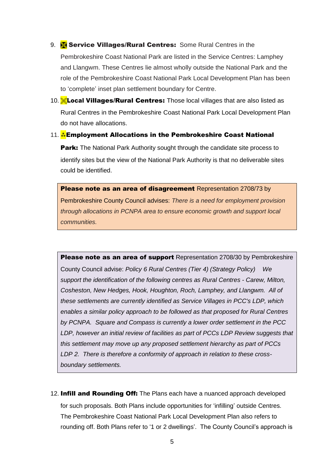- 9. **Service Villages/Rural Centres:** Some Rural Centres in the Pembrokeshire Coast National Park are listed in the Service Centres: Lamphey and Llangwm. These Centres lie almost wholly outside the National Park and the role of the Pembrokeshire Coast National Park Local Development Plan has been to 'complete' inset plan settlement boundary for Centre.
- 10. **Local Villages/Rural Centres:** Those local villages that are also listed as Rural Centres in the Pembrokeshire Coast National Park Local Development Plan do not have allocations.
- 11. A Employment Allocations in the Pembrokeshire Coast National **Park:** The National Park Authority sought through the candidate site process to identify sites but the view of the National Park Authority is that no deliverable sites could be identified.

Please note as an area of disagreement Representation 2708/73 by Pembrokeshire County Council advises: *There is a need for employment provision through allocations in PCNPA area to ensure economic growth and support local communities.*

Please note as an area of support Representation 2708/30 by Pembrokeshire County Council advise: *Policy 6 Rural Centres (Tier 4) (Strategy Policy) We support the identification of the following centres as Rural Centres - Carew, Milton, Cosheston, New Hedges, Hook, Houghton, Roch, Lamphey, and Llangwm. All of these settlements are currently identified as Service Villages in PCC's LDP, which enables a similar policy approach to be followed as that proposed for Rural Centres by PCNPA. Square and Compass is currently a lower order settlement in the PCC*  LDP, however an initial review of facilities as part of PCCs LDP Review suggests that *this settlement may move up any proposed settlement hierarchy as part of PCCs LDP 2. There is therefore a conformity of approach in relation to these crossboundary settlements.*

12. Infill and Rounding Off: The Plans each have a nuanced approach developed for such proposals. Both Plans include opportunities for 'infilling' outside Centres. The Pembrokeshire Coast National Park Local Development Plan also refers to rounding off. Both Plans refer to '1 or 2 dwellings'. The County Council's approach is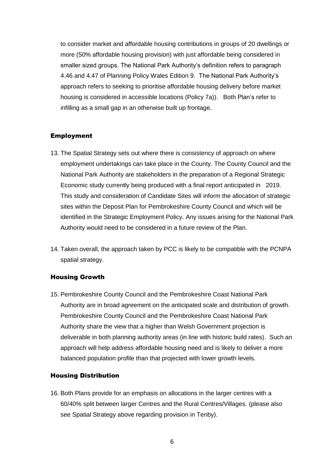to consider market and affordable housing contributions in groups of 20 dwellings or more (50% affordable housing provision) with just affordable being considered in smaller sized groups. The National Park Authority's definition refers to paragraph 4.46 and 4.47 of Planning Policy Wales Edition 9. The National Park Authority's approach refers to seeking to prioritise affordable housing delivery before market housing is considered in accessible locations (Policy 7a)). Both Plan's refer to infilling as a small gap in an otherwise built up frontage.

# Employment

- 13. The Spatial Strategy sets out where there is consistency of approach on where employment undertakings can take place in the County. The County Council and the National Park Authority are stakeholders in the preparation of a Regional Strategic Economic study currently being produced with a final report anticipated in 2019. This study and consideration of Candidate Sites will inform the allocation of strategic sites within the Deposit Plan for Pembrokeshire County Council and which will be identified in the Strategic Employment Policy. Any issues arising for the National Park Authority would need to be considered in a future review of the Plan.
- 14. Taken overall, the approach taken by PCC is likely to be compatible with the PCNPA spatial strategy.

### Housing Growth

15. Pembrokeshire County Council and the Pembrokeshire Coast National Park Authority are in broad agreement on the anticipated scale and distribution of growth. Pembrokeshire County Council and the Pembrokeshire Coast National Park Authority share the view that a higher than Welsh Government projection is deliverable in both planning authority areas (in line with historic build rates). Such an approach will help address affordable housing need and is likely to deliver a more balanced population profile than that projected with lower growth levels.

### Housing Distribution

16. Both Plans provide for an emphasis on allocations in the larger centres with a 60/40% split between larger Centres and the Rural Centres/Villages. (please also see Spatial Strategy above regarding provision in Tenby).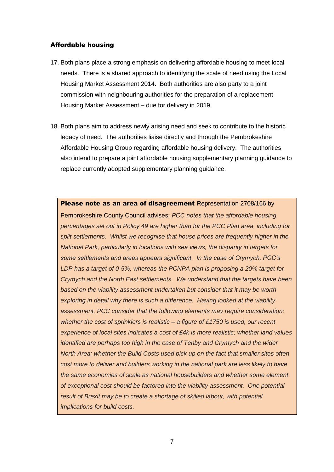# Affordable housing

- 17. Both plans place a strong emphasis on delivering affordable housing to meet local needs. There is a shared approach to identifying the scale of need using the Local Housing Market Assessment 2014. Both authorities are also party to a joint commission with neighbouring authorities for the preparation of a replacement Housing Market Assessment – due for delivery in 2019.
- 18. Both plans aim to address newly arising need and seek to contribute to the historic legacy of need. The authorities liaise directly and through the Pembrokeshire Affordable Housing Group regarding affordable housing delivery. The authorities also intend to prepare a joint affordable housing supplementary planning guidance to replace currently adopted supplementary planning guidance.

# Please note as an area of disagreement Representation 2708/166 by

Pembrokeshire County Council advises: *PCC notes that the affordable housing percentages set out in Policy 49 are higher than for the PCC Plan area, including for split settlements. Whilst we recognise that house prices are frequently higher in the National Park, particularly in locations with sea views, the disparity in targets for some settlements and areas appears significant. In the case of Crymych, PCC's LDP has a target of 0-5%, whereas the PCNPA plan is proposing a 20% target for Crymych and the North East settlements. We understand that the targets have been based on the viability assessment undertaken but consider that it may be worth exploring in detail why there is such a difference. Having looked at the viability assessment, PCC consider that the following elements may require consideration: whether the cost of sprinklers is realistic – a figure of £1750 is used, our recent experience of local sites indicates a cost of £4k is more realistic; whether land values identified are perhaps too high in the case of Tenby and Crymych and the wider North Area; whether the Build Costs used pick up on the fact that smaller sites often cost more to deliver and builders working in the national park are less likely to have the same economies of scale as national housebuilders and whether some element of exceptional cost should be factored into the viability assessment. One potential result of Brexit may be to create a shortage of skilled labour, with potential implications for build costs.*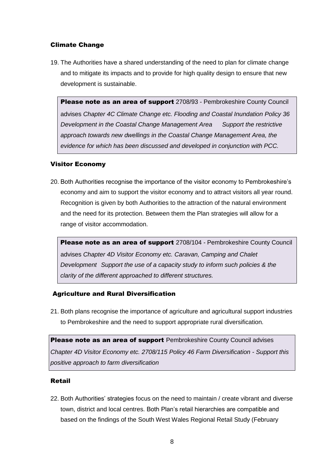# Climate Change

19. The Authorities have a shared understanding of the need to plan for climate change and to mitigate its impacts and to provide for high quality design to ensure that new development is sustainable.

Please note as an area of support 2708/93 - Pembrokeshire County Council advises *Chapter 4C Climate Change etc. Flooding and Coastal Inundation Policy 36 Development in the Coastal Change Management Area Support the restrictive approach towards new dwellings in the Coastal Change Management Area, the evidence for which has been discussed and developed in conjunction with PCC.*

# Visitor Economy

20. Both Authorities recognise the importance of the visitor economy to Pembrokeshire's economy and aim to support the visitor economy and to attract visitors all year round. Recognition is given by both Authorities to the attraction of the natural environment and the need for its protection. Between them the Plan strategies will allow for a range of visitor accommodation.

Please note as an area of support 2708/104 *-* Pembrokeshire County Council advises *Chapter 4D Visitor Economy etc. Caravan, Camping and Chalet Development Support the use of a capacity study to inform such policies & the clarity of the different approached to different structures.*

# Agriculture and Rural Diversification

21. Both plans recognise the importance of agriculture and agricultural support industries to Pembrokeshire and the need to support appropriate rural diversification.

Please note as an area of support Pembrokeshire County Council advises *Chapter 4D Visitor Economy etc. 2708/115 Policy 46 Farm Diversification - Support this positive approach to farm diversification*

# Retail

22. Both Authorities' strategies focus on the need to maintain / create vibrant and diverse town, district and local centres. Both Plan's retail hierarchies are compatible and based on the findings of the South West Wales Regional Retail Study (February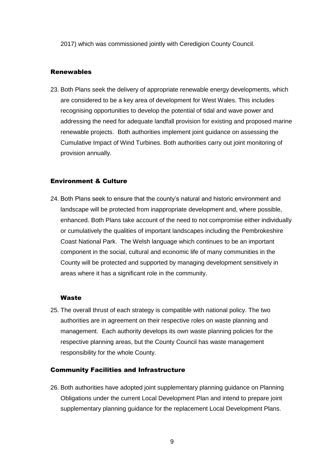2017) which was commissioned jointly with Ceredigion County Council.

## Renewables

23. Both Plans seek the delivery of appropriate renewable energy developments, which are considered to be a key area of development for West Wales. This includes recognising opportunities to develop the potential of tidal and wave power and addressing the need for adequate landfall provision for existing and proposed marine renewable projects. Both authorities implement joint guidance on assessing the Cumulative Impact of Wind Turbines. Both authorities carry out joint monitoring of provision annually.

#### Environment & Culture

24. Both Plans seek to ensure that the county's natural and historic environment and landscape will be protected from inappropriate development and, where possible, enhanced. Both Plans take account of the need to not compromise either individually or cumulatively the qualities of important landscapes including the Pembrokeshire Coast National Park. The Welsh language which continues to be an important component in the social, cultural and economic life of many communities in the County will be protected and supported by managing development sensitively in areas where it has a significant role in the community.

#### **Waste**

25. The overall thrust of each strategy is compatible with national policy. The two authorities are in agreement on their respective roles on waste planning and management. Each authority develops its own waste planning policies for the respective planning areas, but the County Council has waste management responsibility for the whole County.

#### Community Facilities and Infrastructure

26. Both authorities have adopted joint supplementary planning guidance on Planning Obligations under the current Local Development Plan and intend to prepare joint supplementary planning guidance for the replacement Local Development Plans.